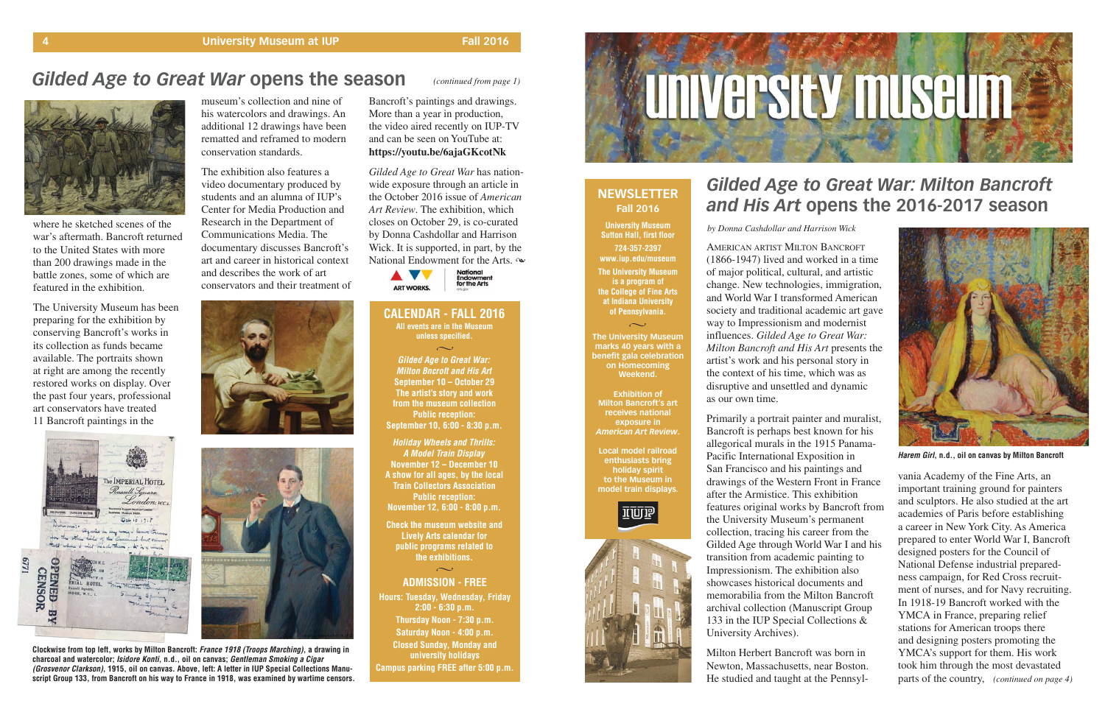where he sketched scenes of the war's aftermath. Bancroft returned to the United States with more than 200 drawings made in the battle zones, some of which are featured in the exhibition.

The University Museum has been preparing for the exhibition by conserving Bancroft's works in its collection as funds became available. The portraits shown at right are among the recently restored works on display. Over the past four years, professional art conservators have treated 11 Bancroft paintings in the



**Gilded Age to Great War: Milton Bncroft and His Art September 10 – October 29 The artist's story and work from the museum collection Public reception: September 10, 6:00 - 8:30 p.m.**  $\sim$ 

museum's collection and nine of his watercolors and drawings. An additional 12 drawings have been rematted and reframed to modern conservation standards.

> **ADMISSION - FREE Hours: Tuesday, Wednesday, Friday 2:00 - 6:30 p.m. Thursday Noon - 7:30 p.m. Saturday Noon - 4:00 p.m. Closed Sunday, Monday and university holidays Campus parking FREE after 5:00 p.m.**  $\sim$



The exhibition also features a video documentary produced by students and an alumna of IUP's Center for Media Production and Research in the Department of Communications Media. The documentary discusses Bancroft's art and career in historical context and describes the work of art conservators and their treatment of





## *Gilded Age to Great War* **opens the season**



**Holiday Wheels and Thrills: A Model Train Display November 12 – December 10 A show for all ages, by the local Train Collectors Association Public reception: November 12, 6:00 - 8:00 p.m.** 

**Check the museum website and Lively Arts calendar for public programs related to the exhibitions.**

#### **NEWSLETTER Fall 2016**

**University Museum Sutton Hall, first floor 724-357-2397 www.iup.edu/museum**

**The University Museum is a program of the College of Fine Arts at Indiana University of Pennsylvania.**

**The University Museum marks 40 years with a benefit gala celebration on Homecoming Weekend.**

 $\sim$ 

**Exhibition of Milton Bancroft's art receives national exposure in** *American Art Review***.**

**Local model railroad enthusiasts bring holiday spirit to the Museum in model train displays.** 





### *Gilded Age to Great War: Milton Bancroft and His Art* **opens the 2016-2017 season**



**Harem Girl, n.d., oil on canvas by Milton Bancroft**

*Gilded Age to Great War* has nationwide exposure through an article in the October 2016 issue of *American Art Review*. The exhibition, which closes on October 29, is co-curated by Donna Cashdollar and Harrison Wick. It is supported, in part, by the National Endowment for the Arts.  $\infty$ 



**Clockwise from top left, works by Milton Bancroft: France 1918 (Troops Marching), a drawing in charcoal and watercolor; Isidore Konti, n.d., oil on canvas; Gentleman Smoking a Cigar (Grosvenor Clarkson), 1915, oil on canvas. Above, left: A letter in IUP Special Collections Manuscript Group 133, from Bancroft on his way to France in 1918, was examined by wartime censors.**

*(continued from page 1)*

AMERICAN ARTIST MILTON BANCROFT (1866-1947) lived and worked in a time of major political, cultural, and artistic change. New technologies, immigration, and World War I transformed American society and traditional academic art gave way to Impressionism and modernist influences. *Gilded Age to Great War: Milton Bancroft and His Art* presents the artist's work and his personal story in the context of his time, which was as disruptive and unsettled and dynamic as our own time.

#### **CALENDAR - FALL 2016 All events are in the Museum**

*(continued on page 4)* parts of the country, vania Academy of the Fine Arts, an important training ground for painters and sculptors. He also studied at the art academies of Paris before establishing a career in New York City. As America prepared to enter World War I, Bancroft designed posters for the Council of National Defense industrial preparedness campaign, for Red Cross recruitment of nurses, and for Navy recruiting. In 1918-19 Bancroft worked with the YMCA in France, preparing relief stations for American troops there and designing posters promoting the YMCA's support for them. His work took him through the most devastated

Primarily a portrait painter and muralist, Bancroft is perhaps best known for his allegorical murals in the 1915 Panama-Pacific International Exposition in San Francisco and his paintings and drawings of the Western Front in France after the Armistice. This exhibition features original works by Bancroft from the University Museum's permanent collection, tracing his career from the Gilded Age through World War I and his transition from academic painting to Impressionism. The exhibition also showcases historical documents and memorabilia from the Milton Bancroft archival collection (Manuscript Group 133 in the IUP Special Collections & University Archives).

Milton Herbert Bancroft was born in Newton, Massachusetts, near Boston. He studied and taught at the Pennsyl-

*by Donna Cashdollar and Harrison Wick*

Bancroft's paintings and drawings. More than a year in production, the video aired recently on IUP-TV and can be seen on YouTube at: **https://youtu.be/6ajaGKcotNk**

**unless specified.**